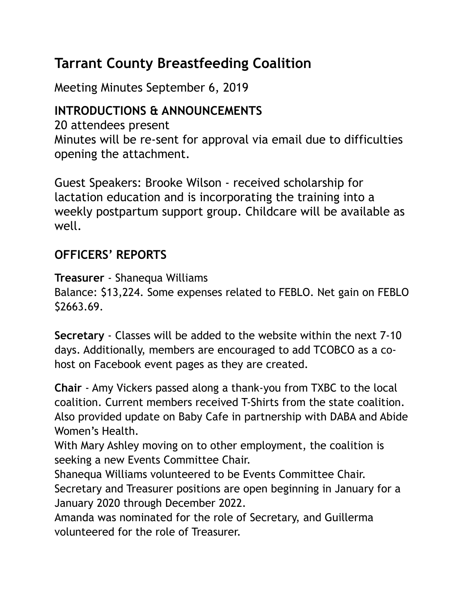# **Tarrant County Breastfeeding Coalition**

Meeting Minutes September 6, 2019

### **INTRODUCTIONS & ANNOUNCEMENTS**

20 attendees present Minutes will be re-sent for approval via email due to difficulties opening the attachment.

Guest Speakers: Brooke Wilson - received scholarship for lactation education and is incorporating the training into a weekly postpartum support group. Childcare will be available as well.

## **OFFICERS' REPORTS**

**Treasurer** - Shanequa Williams Balance: \$13,224. Some expenses related to FEBLO. Net gain on FEBLO \$2663.69.

**Secretary** - Classes will be added to the website within the next 7-10 days. Additionally, members are encouraged to add TCOBCO as a cohost on Facebook event pages as they are created.

**Chair** - Amy Vickers passed along a thank-you from TXBC to the local coalition. Current members received T-Shirts from the state coalition. Also provided update on Baby Cafe in partnership with DABA and Abide Women's Health.

With Mary Ashley moving on to other employment, the coalition is seeking a new Events Committee Chair.

Shanequa Williams volunteered to be Events Committee Chair. Secretary and Treasurer positions are open beginning in January for a January 2020 through December 2022.

Amanda was nominated for the role of Secretary, and Guillerma volunteered for the role of Treasurer.